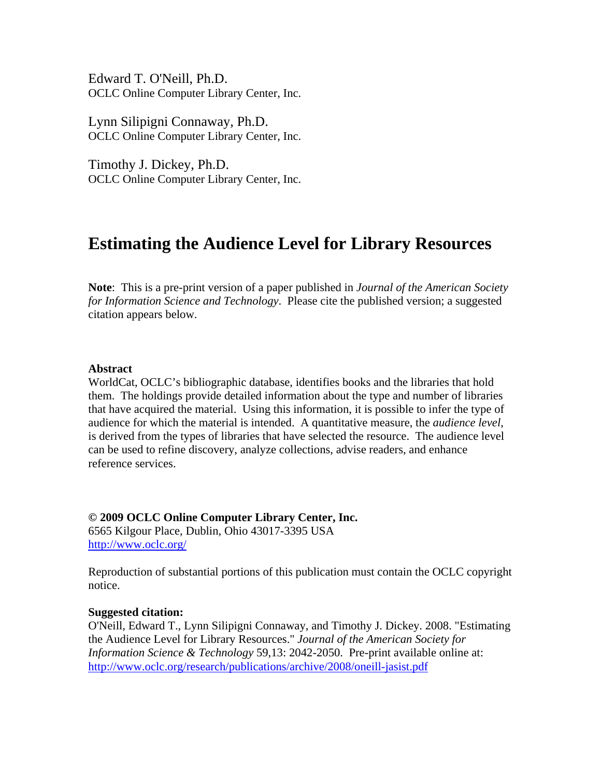Edward T. O'Neill, Ph.D. OCLC Online Computer Library Center, Inc.

Lynn Silipigni Connaway, Ph.D. OCLC Online Computer Library Center, Inc.

Timothy J. Dickey, Ph.D. OCLC Online Computer Library Center, Inc.

# **Estimating the Audience Level for Library Resources**

**Note**: This is a pre-print version of a paper published in *Journal of the American Society for Information Science and Technology*. Please cite the published version; a suggested citation appears below.

## **Abstract**

WorldCat, OCLC's bibliographic database, identifies books and the libraries that hold them. The holdings provide detailed information about the type and number of libraries that have acquired the material. Using this information, it is possible to infer the type of audience for which the material is intended. A quantitative measure, the *audience level*, is derived from the types of libraries that have selected the resource. The audience level can be used to refine discovery, analyze collections, advise readers, and enhance reference services.

**© 2009 OCLC Online Computer Library Center, Inc.**  6565 Kilgour Place, Dublin, Ohio 43017-3395 USA <http://www.oclc.org/>

Reproduction of substantial portions of this publication must contain the OCLC copyright notice.

#### **Suggested citation:**

O'Neill, Edward T., Lynn Silipigni Connaway, and Timothy J. Dickey. 2008. "Estimating the Audience Level for Library Resources." *Journal of the American Society for Information Science & Technology* 59,13: 2042-2050. Pre-print available online at: <http://www.oclc.org/research/publications/archive/2008/oneill-jasist.pdf>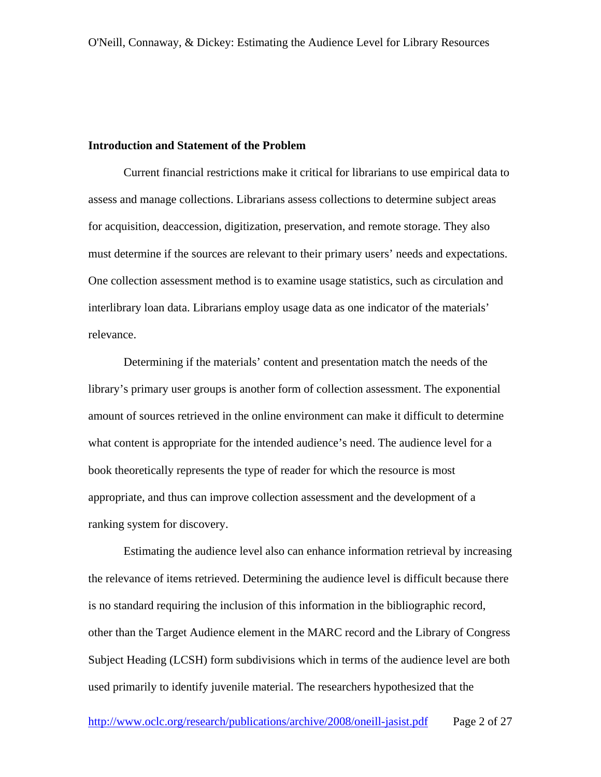## **Introduction and Statement of the Problem**

Current financial restrictions make it critical for librarians to use empirical data to assess and manage collections. Librarians assess collections to determine subject areas for acquisition, deaccession, digitization, preservation, and remote storage. They also must determine if the sources are relevant to their primary users' needs and expectations. One collection assessment method is to examine usage statistics, such as circulation and interlibrary loan data. Librarians employ usage data as one indicator of the materials' relevance.

Determining if the materials' content and presentation match the needs of the library's primary user groups is another form of collection assessment. The exponential amount of sources retrieved in the online environment can make it difficult to determine what content is appropriate for the intended audience's need. The audience level for a book theoretically represents the type of reader for which the resource is most appropriate, and thus can improve collection assessment and the development of a ranking system for discovery.

Estimating the audience level also can enhance information retrieval by increasing the relevance of items retrieved. Determining the audience level is difficult because there is no standard requiring the inclusion of this information in the bibliographic record, other than the Target Audience element in the MARC record and the Library of Congress Subject Heading (LCSH) form subdivisions which in terms of the audience level are both used primarily to identify juvenile material. The researchers hypothesized that the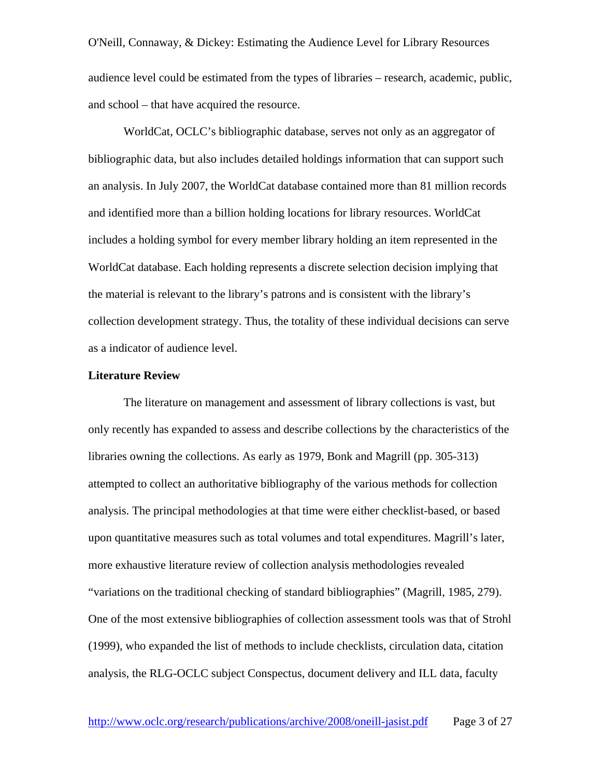O'Neill, Connaway, & Dickey: Estimating the Audience Level for Library Resources audience level could be estimated from the types of libraries – research, academic, public, and school – that have acquired the resource.

WorldCat, OCLC's bibliographic database, serves not only as an aggregator of bibliographic data, but also includes detailed holdings information that can support such an analysis. In July 2007, the WorldCat database contained more than 81 million records and identified more than a billion holding locations for library resources. WorldCat includes a holding symbol for every member library holding an item represented in the WorldCat database. Each holding represents a discrete selection decision implying that the material is relevant to the library's patrons and is consistent with the library's collection development strategy. Thus, the totality of these individual decisions can serve as a indicator of audience level.

#### **Literature Review**

 The literature on management and assessment of library collections is vast, but only recently has expanded to assess and describe collections by the characteristics of the libraries owning the collections. As early as 1979, Bonk and Magrill (pp. 305-313) attempted to collect an authoritative bibliography of the various methods for collection analysis. The principal methodologies at that time were either checklist-based, or based upon quantitative measures such as total volumes and total expenditures. Magrill's later, more exhaustive literature review of collection analysis methodologies revealed "variations on the traditional checking of standard bibliographies" (Magrill, 1985, 279). One of the most extensive bibliographies of collection assessment tools was that of Strohl (1999), who expanded the list of methods to include checklists, circulation data, citation analysis, the RLG-OCLC subject Conspectus, document delivery and ILL data, faculty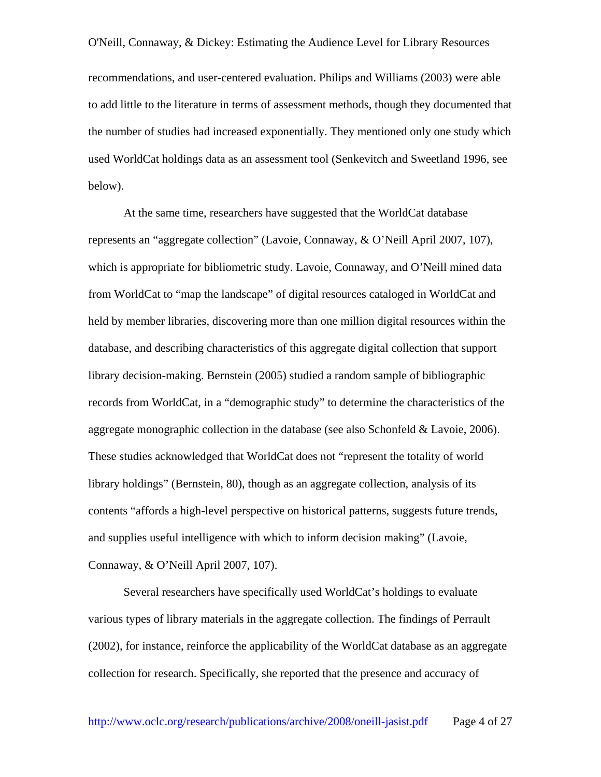recommendations, and user-centered evaluation. Philips and Williams (2003) were able to add little to the literature in terms of assessment methods, though they documented that the number of studies had increased exponentially. They mentioned only one study which used WorldCat holdings data as an assessment tool (Senkevitch and Sweetland 1996, see below).

 At the same time, researchers have suggested that the WorldCat database represents an "aggregate collection" (Lavoie, Connaway, & O'Neill April 2007, 107), which is appropriate for bibliometric study. Lavoie, Connaway, and O'Neill mined data from WorldCat to "map the landscape" of digital resources cataloged in WorldCat and held by member libraries, discovering more than one million digital resources within the database, and describing characteristics of this aggregate digital collection that support library decision-making. Bernstein (2005) studied a random sample of bibliographic records from WorldCat, in a "demographic study" to determine the characteristics of the aggregate monographic collection in the database (see also Schonfeld & Lavoie, 2006). These studies acknowledged that WorldCat does not "represent the totality of world library holdings" (Bernstein, 80), though as an aggregate collection, analysis of its contents "affords a high-level perspective on historical patterns, suggests future trends, and supplies useful intelligence with which to inform decision making" (Lavoie, Connaway, & O'Neill April 2007, 107).

 Several researchers have specifically used WorldCat's holdings to evaluate various types of library materials in the aggregate collection. The findings of Perrault (2002), for instance, reinforce the applicability of the WorldCat database as an aggregate collection for research. Specifically, she reported that the presence and accuracy of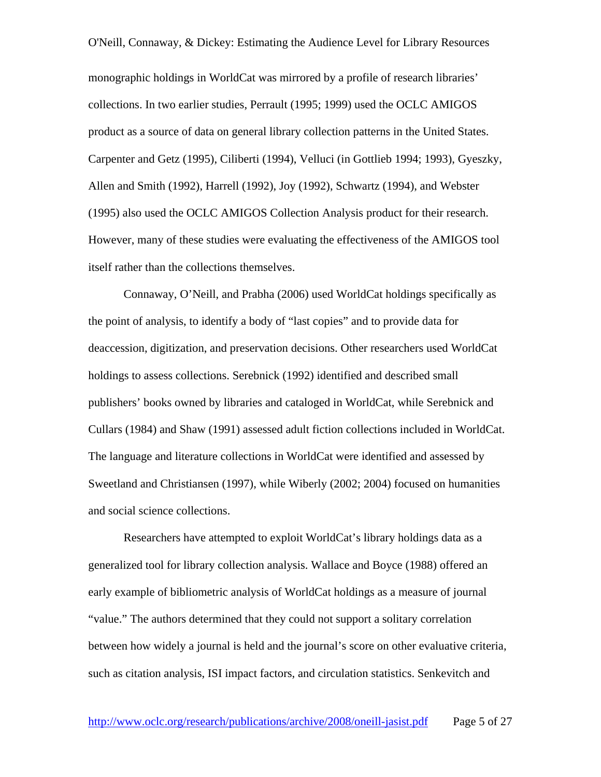O'Neill, Connaway, & Dickey: Estimating the Audience Level for Library Resources monographic holdings in WorldCat was mirrored by a profile of research libraries' collections. In two earlier studies, Perrault (1995; 1999) used the OCLC AMIGOS product as a source of data on general library collection patterns in the United States. Carpenter and Getz (1995), Ciliberti (1994), Velluci (in Gottlieb 1994; 1993), Gyeszky, Allen and Smith (1992), Harrell (1992), Joy (1992), Schwartz (1994), and Webster (1995) also used the OCLC AMIGOS Collection Analysis product for their research. However, many of these studies were evaluating the effectiveness of the AMIGOS tool itself rather than the collections themselves.

Connaway, O'Neill, and Prabha (2006) used WorldCat holdings specifically as the point of analysis, to identify a body of "last copies" and to provide data for deaccession, digitization, and preservation decisions. Other researchers used WorldCat holdings to assess collections. Serebnick (1992) identified and described small publishers' books owned by libraries and cataloged in WorldCat, while Serebnick and Cullars (1984) and Shaw (1991) assessed adult fiction collections included in WorldCat. The language and literature collections in WorldCat were identified and assessed by Sweetland and Christiansen (1997), while Wiberly (2002; 2004) focused on humanities and social science collections.

 Researchers have attempted to exploit WorldCat's library holdings data as a generalized tool for library collection analysis. Wallace and Boyce (1988) offered an early example of bibliometric analysis of WorldCat holdings as a measure of journal "value." The authors determined that they could not support a solitary correlation between how widely a journal is held and the journal's score on other evaluative criteria, such as citation analysis, ISI impact factors, and circulation statistics. Senkevitch and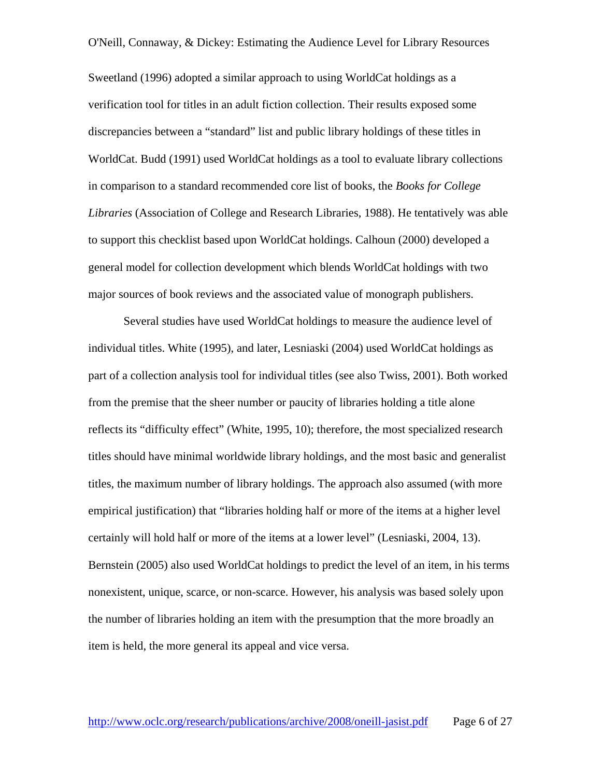Sweetland (1996) adopted a similar approach to using WorldCat holdings as a verification tool for titles in an adult fiction collection. Their results exposed some discrepancies between a "standard" list and public library holdings of these titles in WorldCat. Budd (1991) used WorldCat holdings as a tool to evaluate library collections in comparison to a standard recommended core list of books, the *Books for College Libraries* (Association of College and Research Libraries, 1988). He tentatively was able to support this checklist based upon WorldCat holdings. Calhoun (2000) developed a general model for collection development which blends WorldCat holdings with two major sources of book reviews and the associated value of monograph publishers.

 Several studies have used WorldCat holdings to measure the audience level of individual titles. White (1995), and later, Lesniaski (2004) used WorldCat holdings as part of a collection analysis tool for individual titles (see also Twiss, 2001). Both worked from the premise that the sheer number or paucity of libraries holding a title alone reflects its "difficulty effect" (White, 1995, 10); therefore, the most specialized research titles should have minimal worldwide library holdings, and the most basic and generalist titles, the maximum number of library holdings. The approach also assumed (with more empirical justification) that "libraries holding half or more of the items at a higher level certainly will hold half or more of the items at a lower level" (Lesniaski, 2004, 13). Bernstein (2005) also used WorldCat holdings to predict the level of an item, in his terms nonexistent, unique, scarce, or non-scarce. However, his analysis was based solely upon the number of libraries holding an item with the presumption that the more broadly an item is held, the more general its appeal and vice versa.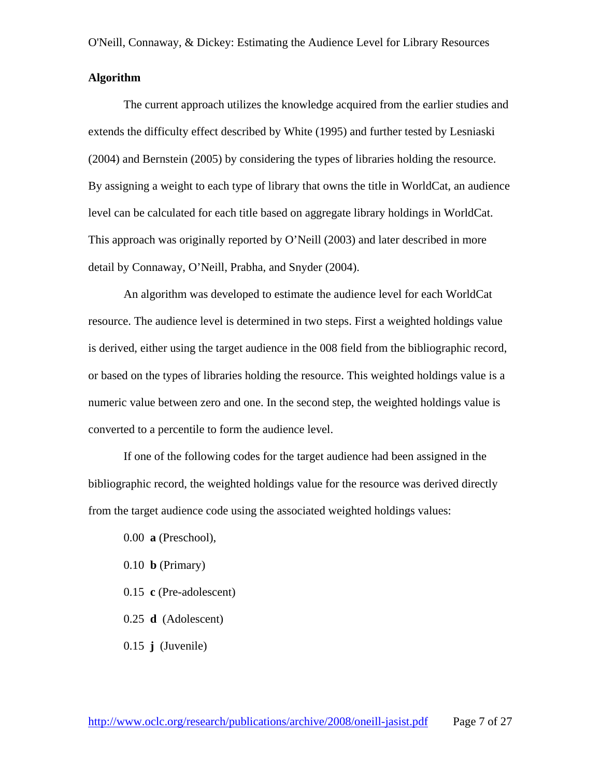#### **Algorithm**

The current approach utilizes the knowledge acquired from the earlier studies and extends the difficulty effect described by White (1995) and further tested by Lesniaski (2004) and Bernstein (2005) by considering the types of libraries holding the resource. By assigning a weight to each type of library that owns the title in WorldCat, an audience level can be calculated for each title based on aggregate library holdings in WorldCat. This approach was originally reported by O'Neill (2003) and later described in more detail by Connaway, O'Neill, Prabha, and Snyder (2004).

An algorithm was developed to estimate the audience level for each WorldCat resource. The audience level is determined in two steps. First a weighted holdings value is derived, either using the target audience in the 008 field from the bibliographic record, or based on the types of libraries holding the resource. This weighted holdings value is a numeric value between zero and one. In the second step, the weighted holdings value is converted to a percentile to form the audience level.

If one of the following codes for the target audience had been assigned in the bibliographic record, the weighted holdings value for the resource was derived directly from the target audience code using the associated weighted holdings values:

- 0.00 **a** (Preschool),
- 0.10 **b** (Primary)
- 0.15 **c** (Pre-adolescent)
- 0.25 **d** (Adolescent)
- 0.15 **j** (Juvenile)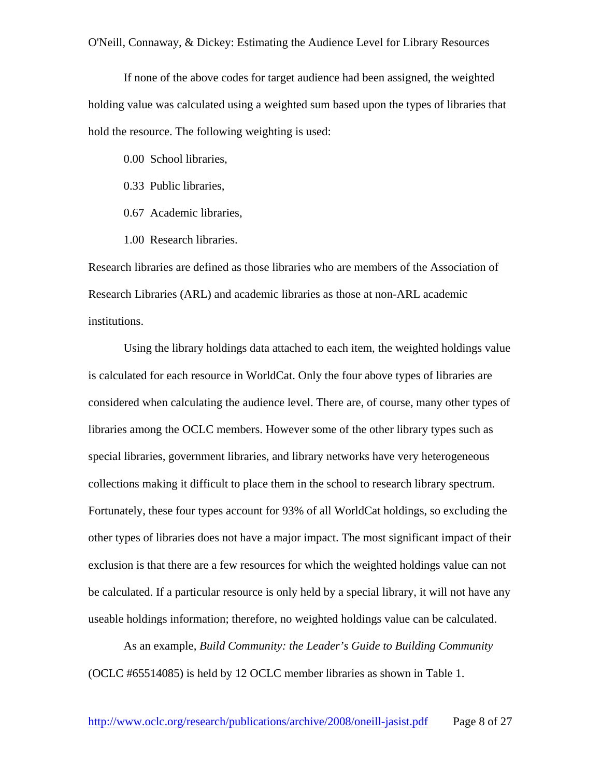If none of the above codes for target audience had been assigned, the weighted holding value was calculated using a weighted sum based upon the types of libraries that hold the resource. The following weighting is used:

0.00 School libraries,

- 0.33 Public libraries,
- 0.67 Academic libraries,
- 1.00 Research libraries.

Research libraries are defined as those libraries who are members of the Association of Research Libraries (ARL) and academic libraries as those at non-ARL academic institutions.

Using the library holdings data attached to each item, the weighted holdings value is calculated for each resource in WorldCat. Only the four above types of libraries are considered when calculating the audience level. There are, of course, many other types of libraries among the OCLC members. However some of the other library types such as special libraries, government libraries, and library networks have very heterogeneous collections making it difficult to place them in the school to research library spectrum. Fortunately, these four types account for 93% of all WorldCat holdings, so excluding the other types of libraries does not have a major impact. The most significant impact of their exclusion is that there are a few resources for which the weighted holdings value can not be calculated. If a particular resource is only held by a special library, it will not have any useable holdings information; therefore, no weighted holdings value can be calculated.

As an example, *Build Community: the Leader's Guide to Building Community* (OCLC #65514085) is held by 12 OCLC member libraries as shown in Table 1.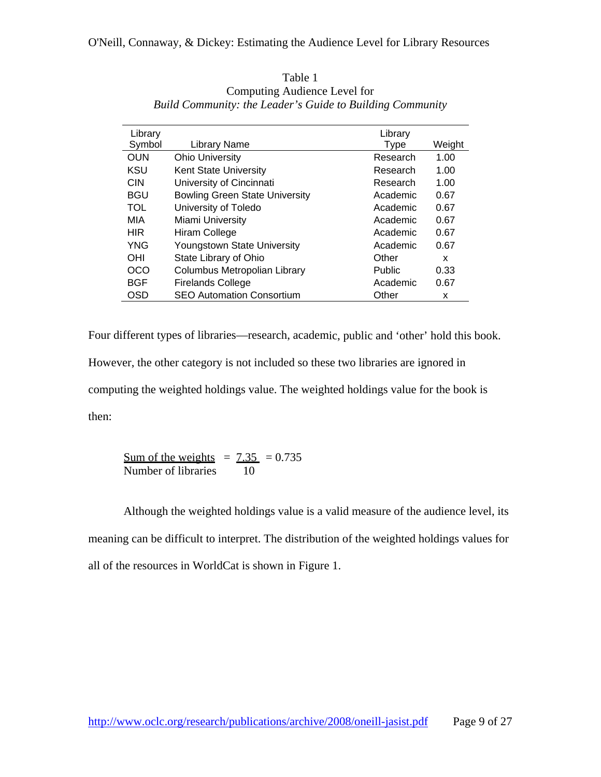| Library    |                                       | Library       |        |
|------------|---------------------------------------|---------------|--------|
| Symbol     | <b>Library Name</b>                   | Type          | Weight |
| <b>OUN</b> | <b>Ohio University</b>                | Research      | 1.00   |
| KSU        | <b>Kent State University</b>          | Research      | 1.00   |
| <b>CIN</b> | University of Cincinnati              | Research      | 1.00   |
| <b>BGU</b> | <b>Bowling Green State University</b> | Academic      | 0.67   |
| <b>TOL</b> | University of Toledo                  | Academic      | 0.67   |
| MIA        | Miami University                      | Academic      | 0.67   |
| <b>HIR</b> | Hiram College                         | Academic      | 0.67   |
| <b>YNG</b> | Youngstown State University           | Academic      | 0.67   |
| OHI        | State Library of Ohio                 | Other         | x      |
| OCO        | Columbus Metropolian Library          | <b>Public</b> | 0.33   |
| <b>BGF</b> | <b>Firelands College</b>              | Academic      | 0.67   |
| OSD        | <b>SEO Automation Consortium</b>      | Other         | x      |

| Table 1                                                   |
|-----------------------------------------------------------|
| Computing Audience Level for                              |
| Build Community: the Leader's Guide to Building Community |

Four different types of libraries—research, academic, public and 'other' hold this book. However, the other category is not included so these two libraries are ignored in computing the weighted holdings value. The weighted holdings value for the book is then:

Sum of the weights =  $7.35$  = 0.735 Number of libraries 10

Although the weighted holdings value is a valid measure of the audience level, its meaning can be difficult to interpret. The distribution of the weighted holdings values for all of the resources in WorldCat is shown in Figure 1.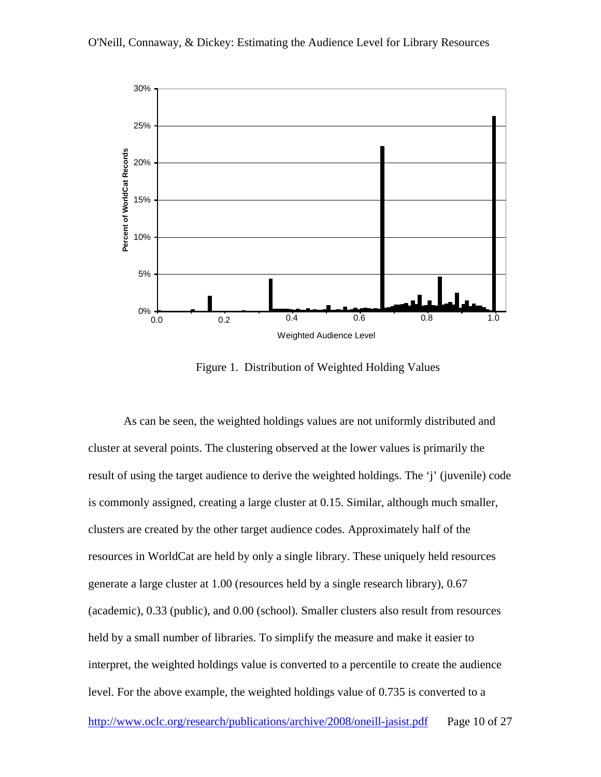



Figure 1. Distribution of Weighted Holding Values

As can be seen, the weighted holdings values are not uniformly distributed and cluster at several points. The clustering observed at the lower values is primarily the result of using the target audience to derive the weighted holdings. The 'j' (juvenile) code is commonly assigned, creating a large cluster at 0.15. Similar, although much smaller, clusters are created by the other target audience codes. Approximately half of the resources in WorldCat are held by only a single library. These uniquely held resources generate a large cluster at 1.00 (resources held by a single research library), 0.67 (academic), 0.33 (public), and 0.00 (school). Smaller clusters also result from resources held by a small number of libraries. To simplify the measure and make it easier to interpret, the weighted holdings value is converted to a percentile to create the audience level. For the above example, the weighted holdings value of 0.735 is converted to a http://www.oclc.org/research/publications/archive/2008/oneill-jasist.pdf Page 10 of 27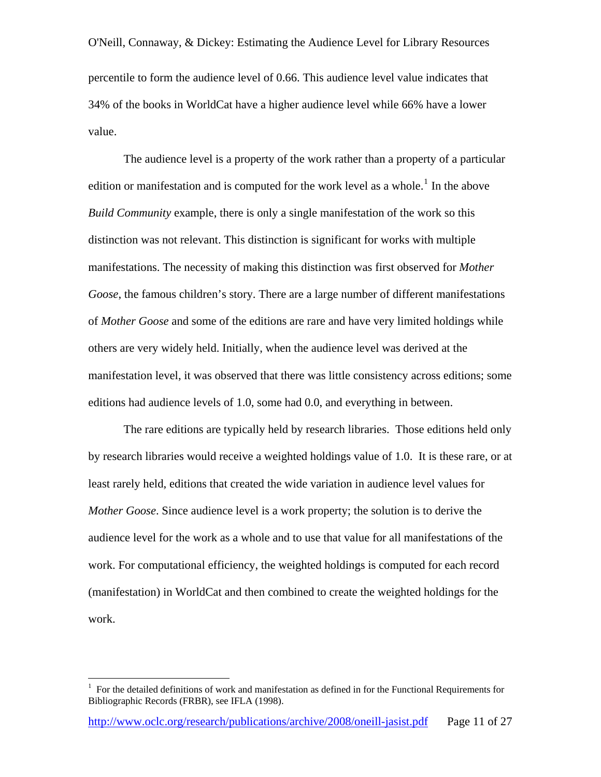O'Neill, Connaway, & Dickey: Estimating the Audience Level for Library Resources percentile to form the audience level of 0.66. This audience level value indicates that 34% of the books in WorldCat have a higher audience level while 66% have a lower value.

The audience level is a property of the work rather than a property of a particular edition or manifestation and is computed for the work level as a whole.<sup>[1](#page-10-0)</sup> In the above *Build Community* example, there is only a single manifestation of the work so this distinction was not relevant. This distinction is significant for works with multiple manifestations. The necessity of making this distinction was first observed for *Mother Goose*, the famous children's story. There are a large number of different manifestations of *Mother Goose* and some of the editions are rare and have very limited holdings while others are very widely held. Initially, when the audience level was derived at the manifestation level, it was observed that there was little consistency across editions; some editions had audience levels of 1.0, some had 0.0, and everything in between.

 The rare editions are typically held by research libraries. Those editions held only by research libraries would receive a weighted holdings value of 1.0. It is these rare, or at least rarely held, editions that created the wide variation in audience level values for *Mother Goose*. Since audience level is a work property; the solution is to derive the audience level for the work as a whole and to use that value for all manifestations of the work. For computational efficiency, the weighted holdings is computed for each record (manifestation) in WorldCat and then combined to create the weighted holdings for the work.

 $\overline{a}$ 

<span id="page-10-0"></span><sup>1</sup> For the detailed definitions of work and manifestation as defined in for the Functional Requirements for Bibliographic Records (FRBR), see IFLA (1998).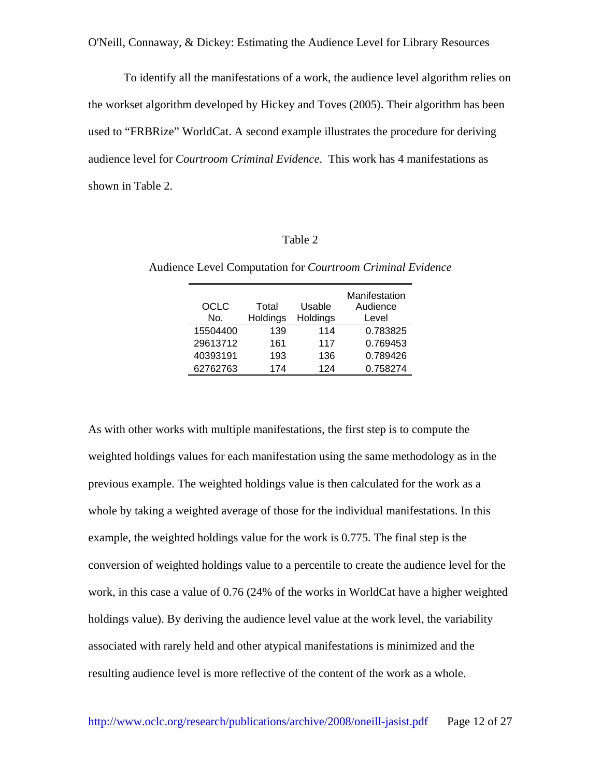To identify all the manifestations of a work, the audience level algorithm relies on the workset algorithm developed by Hickey and Toves (2005). Their algorithm has been used to "FRBRize" WorldCat. A second example illustrates the procedure for deriving audience level for *Courtroom Criminal Evidence*. This work has 4 manifestations as shown in Table 2.

#### Table 2

| OCLC<br>No. | Total<br>Holdings | Usable<br>Holdings | Manifestation<br>Audience<br>Level |
|-------------|-------------------|--------------------|------------------------------------|
| 15504400    | 139               | 114                | 0.783825                           |
| 29613712    | 161               | 117                | 0.769453                           |
| 40393191    | 193               | 136                | 0.789426                           |
| 62762763    | 174               | 124                | 0.758274                           |

Audience Level Computation for *Courtroom Criminal Evidence* 

As with other works with multiple manifestations, the first step is to compute the weighted holdings values for each manifestation using the same methodology as in the previous example. The weighted holdings value is then calculated for the work as a whole by taking a weighted average of those for the individual manifestations. In this example, the weighted holdings value for the work is 0.775. The final step is the conversion of weighted holdings value to a percentile to create the audience level for the work, in this case a value of 0.76 (24% of the works in WorldCat have a higher weighted holdings value). By deriving the audience level value at the work level, the variability associated with rarely held and other atypical manifestations is minimized and the resulting audience level is more reflective of the content of the work as a whole.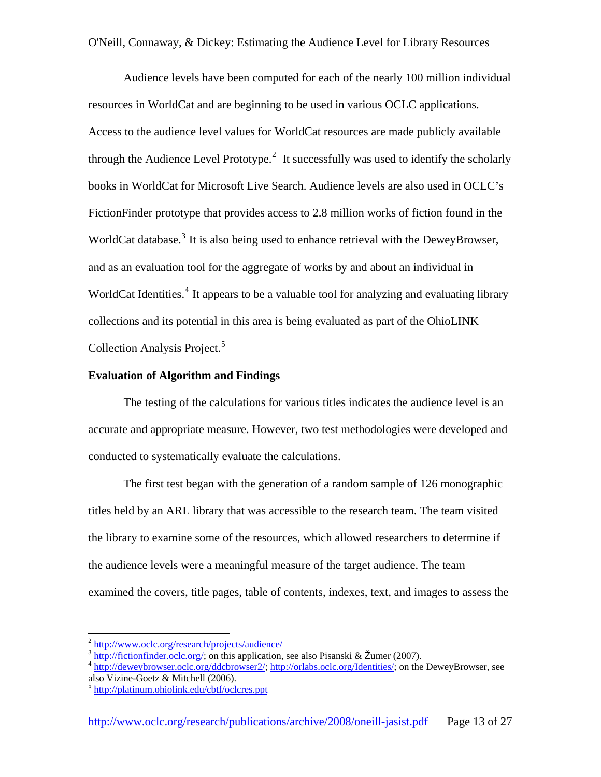Audience levels have been computed for each of the nearly 100 million individual resources in WorldCat and are beginning to be used in various OCLC applications. Access to the audience level values for WorldCat resources are made publicly available through the Audience Level Prototype.<sup>[2](#page-12-0)</sup> It successfully was used to identify the scholarly books in WorldCat for Microsoft Live Search. Audience levels are also used in OCLC's FictionFinder prototype that provides access to 2.8 million works of fiction found in the WorldCat database.<sup>[3](#page-12-1)</sup> It is also being used to enhance retrieval with the DeweyBrowser, and as an evaluation tool for the aggregate of works by and about an individual in WorldCat Identities.<sup>[4](#page-12-2)</sup> It appears to be a valuable tool for analyzing and evaluating library collections and its potential in this area is being evaluated as part of the OhioLINK Collection Analysis Project.<sup>[5](#page-12-3)</sup>

#### **Evaluation of Algorithm and Findings**

The testing of the calculations for various titles indicates the audience level is an accurate and appropriate measure. However, two test methodologies were developed and conducted to systematically evaluate the calculations.

 The first test began with the generation of a random sample of 126 monographic titles held by an ARL library that was accessible to the research team. The team visited the library to examine some of the resources, which allowed researchers to determine if the audience levels were a meaningful measure of the target audience. The team examined the covers, title pages, table of contents, indexes, text, and images to assess the

1

<span id="page-12-1"></span><span id="page-12-0"></span> $\frac{3}{100}$  http://www.oclc.org/research/projects/audience/<br> $\frac{3}{100}$  http://fictionfinder.oclc.org/; on this application, see also Pisanski & Žumer (2007).<br> $\frac{4}{100}$  <http://deweybrowser.oclc.org/ddcbrowser2/>; http:// also Vizine-Goetz & Mitchell (2006).

<span id="page-12-2"></span>

<span id="page-12-3"></span><sup>5</sup> <http://platinum.ohiolink.edu/cbtf/oclcres.ppt>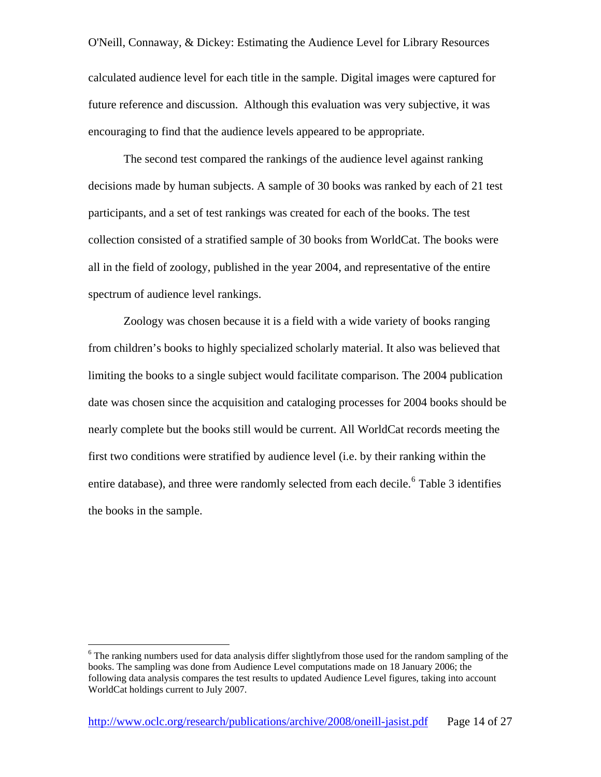O'Neill, Connaway, & Dickey: Estimating the Audience Level for Library Resources calculated audience level for each title in the sample. Digital images were captured for future reference and discussion. Although this evaluation was very subjective, it was encouraging to find that the audience levels appeared to be appropriate.

The second test compared the rankings of the audience level against ranking decisions made by human subjects. A sample of 30 books was ranked by each of 21 test participants, and a set of test rankings was created for each of the books. The test collection consisted of a stratified sample of 30 books from WorldCat. The books were all in the field of zoology, published in the year 2004, and representative of the entire spectrum of audience level rankings.

Zoology was chosen because it is a field with a wide variety of books ranging from children's books to highly specialized scholarly material. It also was believed that limiting the books to a single subject would facilitate comparison. The 2004 publication date was chosen since the acquisition and cataloging processes for 2004 books should be nearly complete but the books still would be current. All WorldCat records meeting the first two conditions were stratified by audience level (i.e. by their ranking within the entire database), and three were randomly selected from each decile. <sup>[6](#page-13-0)</sup> Table 3 identifies the books in the sample.

 $\overline{a}$ 

<span id="page-13-0"></span><sup>&</sup>lt;sup>6</sup> The ranking numbers used for data analysis differ slightlyfrom those used for the random sampling of the books. The sampling was done from Audience Level computations made on 18 January 2006; the following data analysis compares the test results to updated Audience Level figures, taking into account WorldCat holdings current to July 2007.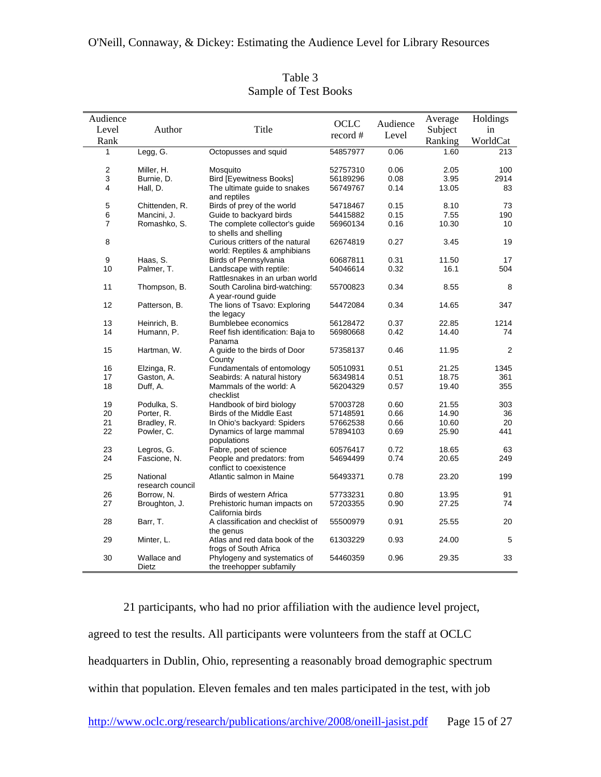| Audience         |                              |                                                           | OCLC     | Audience | Average       | Holdings |
|------------------|------------------------------|-----------------------------------------------------------|----------|----------|---------------|----------|
| Level            | Author                       | Title                                                     |          |          | Subject       | in       |
| Rank             |                              |                                                           | record # | Level    | Ranking       | WorldCat |
| 1                | Legg, G.                     | Octopusses and squid                                      | 54857977 | 0.06     | 1.60          | 213      |
|                  |                              |                                                           |          |          |               |          |
| $\boldsymbol{2}$ | Miller, H.                   | Mosquito                                                  | 52757310 | 0.06     | 2.05          | 100      |
| 3                | Burnie, D.                   | <b>Bird [Eyewitness Books]</b>                            | 56189296 | 0.08     | 3.95          | 2914     |
| 4                | Hall, D.                     | The ultimate guide to snakes<br>and reptiles              | 56749767 | 0.14     | 13.05         | 83       |
| 5                | Chittenden, R.               | Birds of prey of the world                                | 54718467 | 0.15     | 8.10          | 73       |
| 6                | Mancini, J.                  | Guide to backyard birds                                   | 54415882 | 0.15     | 7.55          | 190      |
| $\overline{7}$   | Romashko, S.                 | The complete collector's quide                            | 56960134 | 0.16     | 10.30         | 10       |
|                  |                              | to shells and shelling                                    |          |          |               |          |
| 8                |                              | Curious critters of the natural                           | 62674819 | 0.27     | 3.45          | 19       |
|                  |                              | world: Reptiles & amphibians                              |          | 0.31     |               | 17       |
| 9<br>10          | Haas, S.                     | Birds of Pennsylvania                                     | 60687811 | 0.32     | 11.50<br>16.1 | 504      |
|                  | Palmer, T.                   | Landscape with reptile:<br>Rattlesnakes in an urban world | 54046614 |          |               |          |
| 11               | Thompson, B.                 | South Carolina bird-watching:<br>A year-round guide       | 55700823 | 0.34     | 8.55          | 8        |
| 12               | Patterson, B.                | The lions of Tsavo: Exploring<br>the legacy               | 54472084 | 0.34     | 14.65         | 347      |
| 13               | Heinrich, B.                 | Bumblebee economics                                       | 56128472 | 0.37     | 22.85         | 1214     |
| 14               | Humann, P.                   | Reef fish identification: Baja to                         | 56980668 | 0.42     | 14.40         | 74       |
|                  |                              | Panama                                                    |          |          |               |          |
| 15               | Hartman, W.                  | A guide to the birds of Door<br>County                    | 57358137 | 0.46     | 11.95         | 2        |
| 16               | Elzinga, R.                  | Fundamentals of entomology                                | 50510931 | 0.51     | 21.25         | 1345     |
| 17               | Gaston, A.                   | Seabirds: A natural history                               | 56349814 | 0.51     | 18.75         | 361      |
| 18               | Duff, A.                     | Mammals of the world: A<br>checklist                      | 56204329 | 0.57     | 19.40         | 355      |
| 19               | Podulka, S.                  | Handbook of bird biology                                  | 57003728 | 0.60     | 21.55         | 303      |
| 20               | Porter, R.                   | Birds of the Middle East                                  | 57148591 | 0.66     | 14.90         | 36       |
| 21               | Bradley, R.                  | In Ohio's backyard: Spiders                               | 57662538 | 0.66     | 10.60         | 20       |
| 22               | Powler, C.                   | Dynamics of large mammal<br>populations                   | 57894103 | 0.69     | 25.90         | 441      |
| 23               | Legros, G.                   | Fabre, poet of science                                    | 60576417 | 0.72     | 18.65         | 63       |
| 24               | Fascione, N.                 | People and predators: from<br>conflict to coexistence     | 54694499 | 0.74     | 20.65         | 249      |
| 25               | National<br>research council | Atlantic salmon in Maine                                  | 56493371 | 0.78     | 23.20         | 199      |
| 26               | Borrow, N.                   | Birds of western Africa                                   | 57733231 | 0.80     | 13.95         | 91       |
| 27               | Broughton, J.                | Prehistoric human impacts on<br>California birds          | 57203355 | 0.90     | 27.25         | 74       |
| 28               | Barr, T.                     | A classification and checklist of<br>the genus            | 55500979 | 0.91     | 25.55         | 20       |
| 29               | Minter, L.                   | Atlas and red data book of the<br>frogs of South Africa   | 61303229 | 0.93     | 24.00         | 5        |
| 30               | Wallace and<br>Dietz         | Phylogeny and systematics of<br>the treehopper subfamily  | 54460359 | 0.96     | 29.35         | 33       |

Table 3 Sample of Test Books

21 participants, who had no prior affiliation with the audience level project, agreed to test the results. All participants were volunteers from the staff at OCLC headquarters in Dublin, Ohio, representing a reasonably broad demographic spectrum within that population. Eleven females and ten males participated in the test, with job http://www.oclc.org/research/publications/archive/2008/oneill-jasist.pdf Page 15 of 27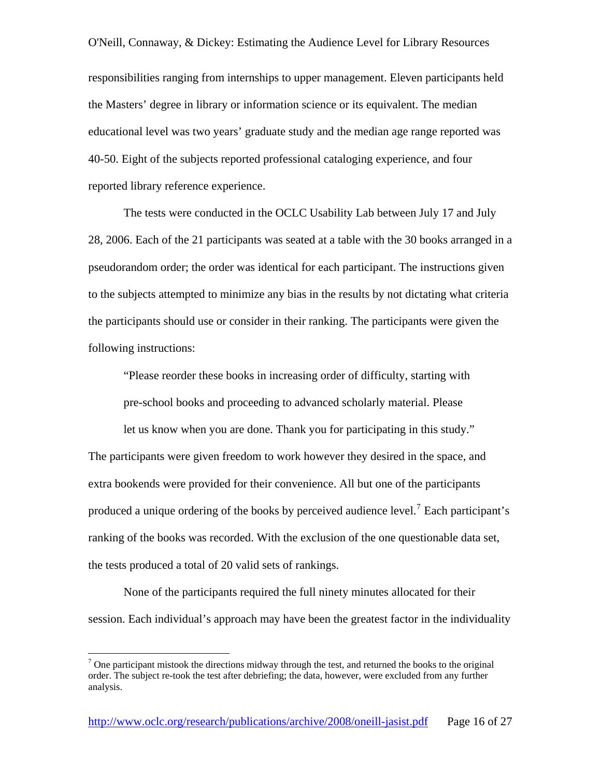O'Neill, Connaway, & Dickey: Estimating the Audience Level for Library Resources responsibilities ranging from internships to upper management. Eleven participants held the Masters' degree in library or information science or its equivalent. The median educational level was two years' graduate study and the median age range reported was 40-50. Eight of the subjects reported professional cataloging experience, and four reported library reference experience.

The tests were conducted in the OCLC Usability Lab between July 17 and July 28, 2006. Each of the 21 participants was seated at a table with the 30 books arranged in a pseudorandom order; the order was identical for each participant. The instructions given to the subjects attempted to minimize any bias in the results by not dictating what criteria the participants should use or consider in their ranking. The participants were given the following instructions:

"Please reorder these books in increasing order of difficulty, starting with

pre-school books and proceeding to advanced scholarly material. Please

let us know when you are done. Thank you for participating in this study." The participants were given freedom to work however they desired in the space, and extra bookends were provided for their convenience. All but one of the participants produced a unique ordering of the books by perceived audience level.<sup>[7](#page-15-0)</sup> Each participant's ranking of the books was recorded. With the exclusion of the one questionable data set, the tests produced a total of 20 valid sets of rankings.

None of the participants required the full ninety minutes allocated for their session. Each individual's approach may have been the greatest factor in the individuality

 $\overline{a}$ 

<span id="page-15-0"></span> $7$  One participant mistook the directions midway through the test, and returned the books to the original order. The subject re-took the test after debriefing; the data, however, were excluded from any further analysis.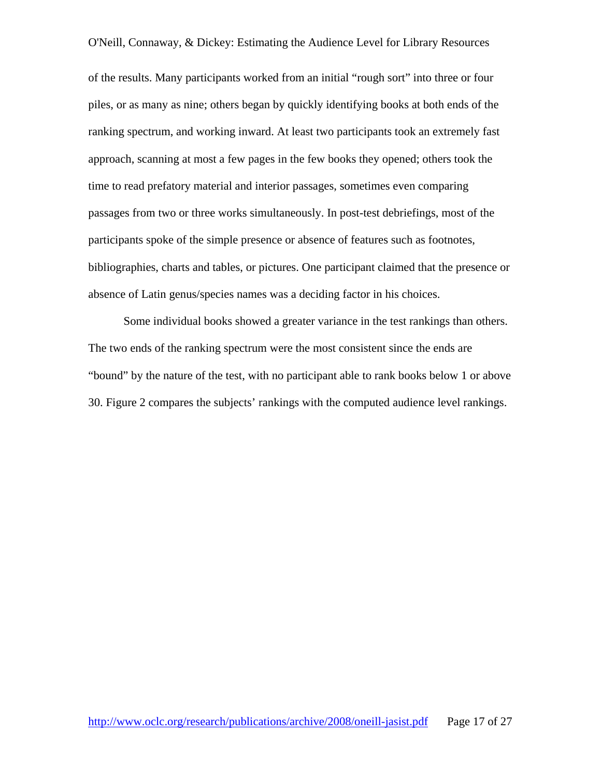of the results. Many participants worked from an initial "rough sort" into three or four piles, or as many as nine; others began by quickly identifying books at both ends of the ranking spectrum, and working inward. At least two participants took an extremely fast approach, scanning at most a few pages in the few books they opened; others took the time to read prefatory material and interior passages, sometimes even comparing passages from two or three works simultaneously. In post-test debriefings, most of the participants spoke of the simple presence or absence of features such as footnotes, bibliographies, charts and tables, or pictures. One participant claimed that the presence or absence of Latin genus/species names was a deciding factor in his choices.

 Some individual books showed a greater variance in the test rankings than others. The two ends of the ranking spectrum were the most consistent since the ends are "bound" by the nature of the test, with no participant able to rank books below 1 or above 30. Figure 2 compares the subjects' rankings with the computed audience level rankings.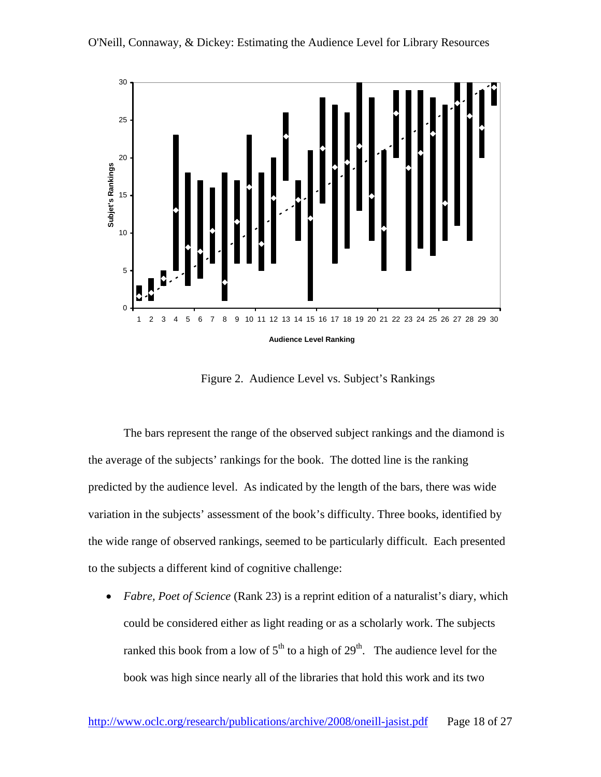

Figure 2. Audience Level vs. Subject's Rankings

The bars represent the range of the observed subject rankings and the diamond is the average of the subjects' rankings for the book. The dotted line is the ranking predicted by the audience level. As indicated by the length of the bars, there was wide variation in the subjects' assessment of the book's difficulty. Three books, identified by the wide range of observed rankings, seemed to be particularly difficult. Each presented to the subjects a different kind of cognitive challenge:

• *Fabre, Poet of Science* (Rank 23) is a reprint edition of a naturalist's diary, which could be considered either as light reading or as a scholarly work. The subjects ranked this book from a low of  $5<sup>th</sup>$  to a high of  $29<sup>th</sup>$ . The audience level for the book was high since nearly all of the libraries that hold this work and its two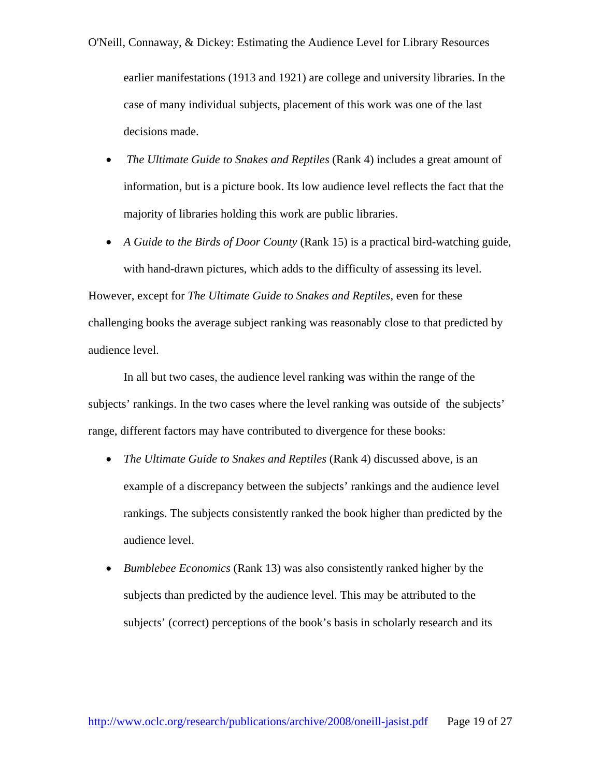earlier manifestations (1913 and 1921) are college and university libraries. In the case of many individual subjects, placement of this work was one of the last decisions made.

- *The Ultimate Guide to Snakes and Reptiles* (Rank 4) includes a great amount of information, but is a picture book. Its low audience level reflects the fact that the majority of libraries holding this work are public libraries.
- *A Guide to the Birds of Door County* (Rank 15) is a practical bird-watching guide, with hand-drawn pictures, which adds to the difficulty of assessing its level.

However, except for *The Ultimate Guide to Snakes and Reptiles*, even for these challenging books the average subject ranking was reasonably close to that predicted by audience level.

In all but two cases, the audience level ranking was within the range of the subjects' rankings. In the two cases where the level ranking was outside of the subjects' range, different factors may have contributed to divergence for these books:

- *The Ultimate Guide to Snakes and Reptiles* (Rank 4) discussed above, is an example of a discrepancy between the subjects' rankings and the audience level rankings. The subjects consistently ranked the book higher than predicted by the audience level.
- *Bumblebee Economics* (Rank 13) was also consistently ranked higher by the subjects than predicted by the audience level. This may be attributed to the subjects' (correct) perceptions of the book's basis in scholarly research and its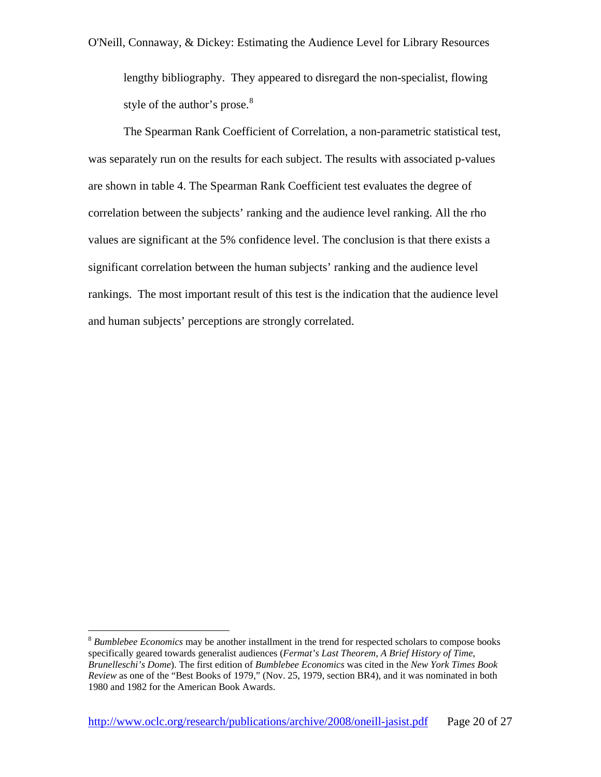lengthy bibliography. They appeared to disregard the non-specialist, flowing style of the author's prose.<sup>8</sup>

The Spearman Rank Coefficient of Correlation, a non-parametric statistical test, was separately run on the results for each subject. The results with associated p-values are shown in table 4. The Spearman Rank Coefficient test evaluates the degree of correlation between the subjects' ranking and the audience level ranking. All the rho values are significant at the 5% confidence level. The conclusion is that there exists a significant correlation between the human subjects' ranking and the audience level rankings. The most important result of this test is the indication that the audience level and human subjects' perceptions are strongly correlated.

 $\overline{a}$ 

<sup>8</sup> *Bumblebee Economics* may be another installment in the trend for respected scholars to compose books specifically geared towards generalist audiences (*Fermat's Last Theorem*, *A Brief History of Time*, *Brunelleschi's Dome*). The first edition of *Bumblebee Economics* was cited in the *New York Times Book Review* as one of the "Best Books of 1979," (Nov. 25, 1979, section BR4), and it was nominated in both 1980 and 1982 for the American Book Awards.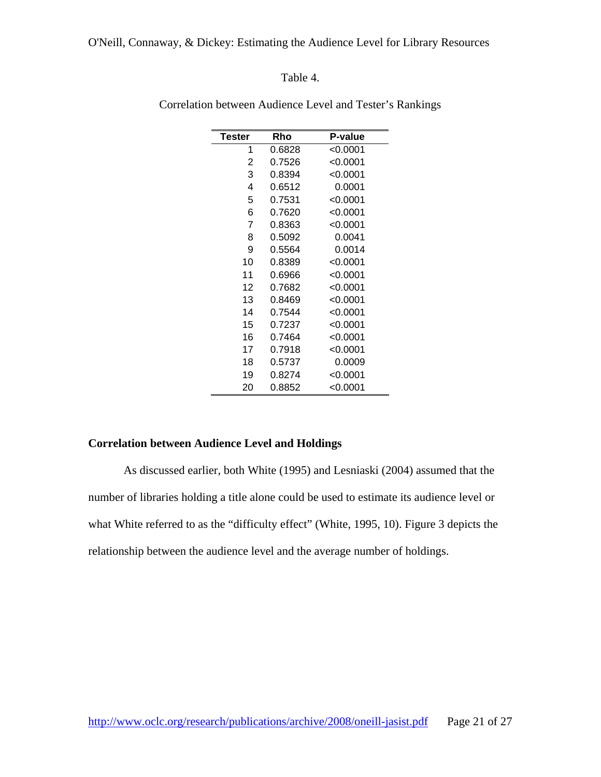## Table 4.

| Tester | Rho    | <b>P-value</b> |
|--------|--------|----------------|
| 1      | 0.6828 | $<$ 0.0001     |
| 2      | 0.7526 | < 0.0001       |
| 3      | 0.8394 | $<$ 0.0001     |
| 4      | 0.6512 | 0.0001         |
| 5      | 0.7531 | $<$ 0.0001     |
| 6      | 0.7620 | $<$ 0.0001     |
| 7      | 0.8363 | < 0.0001       |
| 8      | 0.5092 | 0.0041         |
| 9      | 0.5564 | 0.0014         |
| 10     | 0.8389 | < 0.0001       |
| 11     | 0.6966 | $<$ 0.0001     |
| 12     | 0.7682 | < 0.0001       |
| 13     | 0.8469 | $<$ 0.0001     |
| 14     | 0.7544 | $<$ 0.0001     |
| 15     | 0.7237 | < 0.0001       |
| 16     | 0.7464 | < 0.0001       |
| 17     | 0.7918 | < 0.0001       |
| 18     | 0.5737 | 0.0009         |
| 19     | 0.8274 | < 0.0001       |
| 20     | 0.8852 | < 0.0001       |

Correlation between Audience Level and Tester's Rankings

## **Correlation between Audience Level and Holdings**

As discussed earlier, both White (1995) and Lesniaski (2004) assumed that the number of libraries holding a title alone could be used to estimate its audience level or what White referred to as the "difficulty effect" (White, 1995, 10). Figure 3 depicts the relationship between the audience level and the average number of holdings.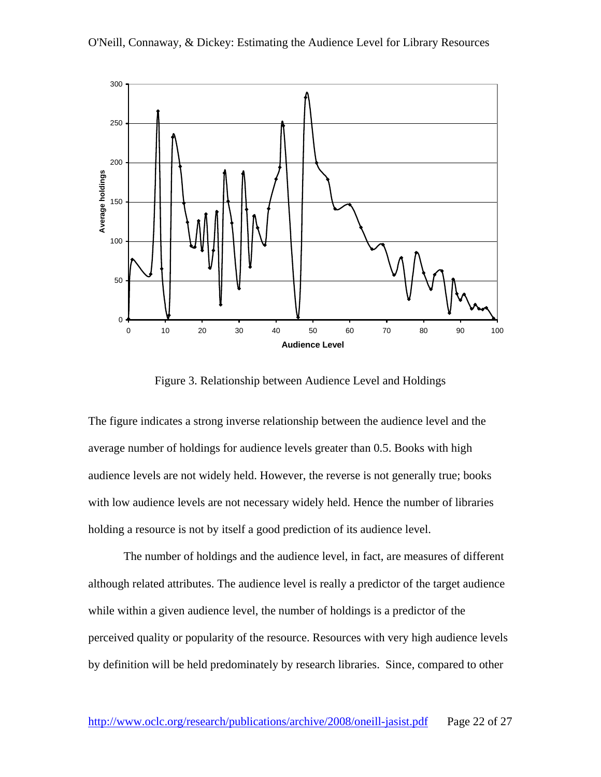



Figure 3. Relationship between Audience Level and Holdings

The figure indicates a strong inverse relationship between the audience level and the average number of holdings for audience levels greater than 0.5. Books with high audience levels are not widely held. However, the reverse is not generally true; books with low audience levels are not necessary widely held. Hence the number of libraries holding a resource is not by itself a good prediction of its audience level.

 The number of holdings and the audience level, in fact, are measures of different although related attributes. The audience level is really a predictor of the target audience while within a given audience level, the number of holdings is a predictor of the perceived quality or popularity of the resource. Resources with very high audience levels by definition will be held predominately by research libraries. Since, compared to other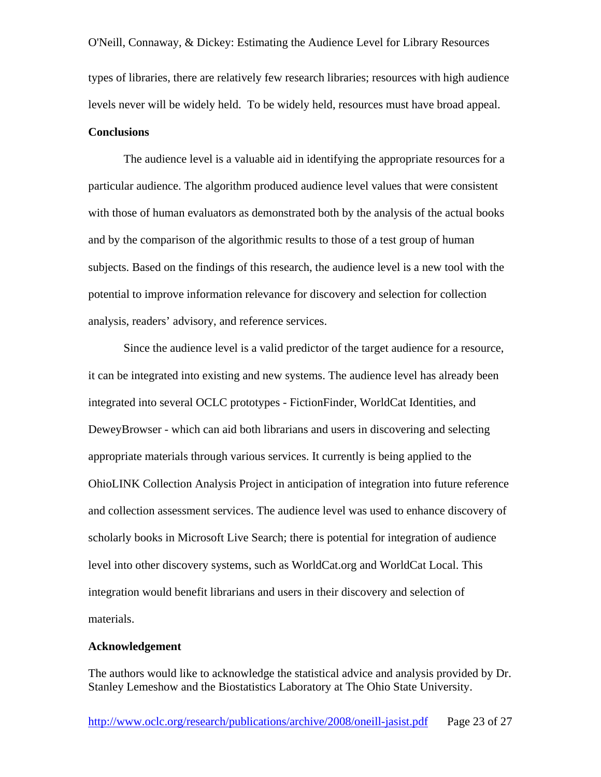O'Neill, Connaway, & Dickey: Estimating the Audience Level for Library Resources types of libraries, there are relatively few research libraries; resources with high audience levels never will be widely held. To be widely held, resources must have broad appeal. **Conclusions**

The audience level is a valuable aid in identifying the appropriate resources for a particular audience. The algorithm produced audience level values that were consistent with those of human evaluators as demonstrated both by the analysis of the actual books and by the comparison of the algorithmic results to those of a test group of human subjects. Based on the findings of this research, the audience level is a new tool with the potential to improve information relevance for discovery and selection for collection analysis, readers' advisory, and reference services.

Since the audience level is a valid predictor of the target audience for a resource, it can be integrated into existing and new systems. The audience level has already been integrated into several OCLC prototypes - FictionFinder, WorldCat Identities, and DeweyBrowser - which can aid both librarians and users in discovering and selecting appropriate materials through various services. It currently is being applied to the OhioLINK Collection Analysis Project in anticipation of integration into future reference and collection assessment services. The audience level was used to enhance discovery of scholarly books in Microsoft Live Search; there is potential for integration of audience level into other discovery systems, such as WorldCat.org and WorldCat Local. This integration would benefit librarians and users in their discovery and selection of materials.

#### **Acknowledgement**

The authors would like to acknowledge the statistical advice and analysis provided by Dr. Stanley Lemeshow and the Biostatistics Laboratory at The Ohio State University.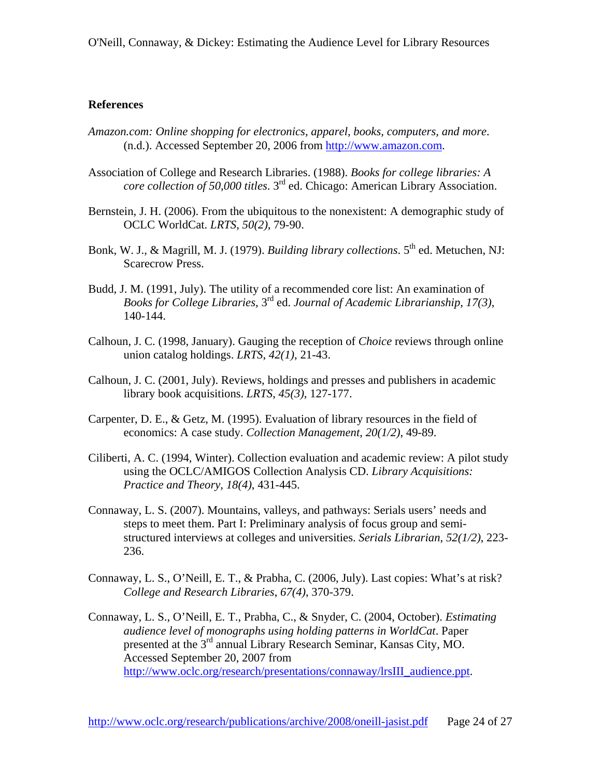## **References**

- *Amazon.com: Online shopping for electronics, apparel, books, computers, and more*. (n.d.). Accessed September 20, 2006 from [http://www.amazon.com.](http://www.amazon.com/)
- Association of College and Research Libraries. (1988). *Books for college libraries: A core collection of 50,000 titles*. 3rd ed. Chicago: American Library Association.
- Bernstein, J. H. (2006). From the ubiquitous to the nonexistent: A demographic study of OCLC WorldCat. *LRTS*, *50(2)*, 79-90.
- Bonk, W. J., & Magrill, M. J. (1979). *Building library collections*. 5<sup>th</sup> ed. Metuchen, NJ: Scarecrow Press.
- Budd, J. M. (1991, July). The utility of a recommended core list: An examination of *Books for College Libraries*, 3rd ed. *Journal of Academic Librarianship*, *17(3)*, 140-144.
- Calhoun, J. C. (1998, January). Gauging the reception of *Choice* reviews through online union catalog holdings. *LRTS*, *42(1)*, 21-43.
- Calhoun, J. C. (2001, July). Reviews, holdings and presses and publishers in academic library book acquisitions. *LRTS*, *45(3)*, 127-177.
- Carpenter, D. E., & Getz, M. (1995). Evaluation of library resources in the field of economics: A case study. *Collection Management*, *20(1/2)*, 49-89.
- Ciliberti, A. C. (1994, Winter). Collection evaluation and academic review: A pilot study using the OCLC/AMIGOS Collection Analysis CD. *Library Acquisitions: Practice and Theory*, *18(4)*, 431-445.
- Connaway, L. S. (2007). Mountains, valleys, and pathways: Serials users' needs and steps to meet them. Part I: Preliminary analysis of focus group and semistructured interviews at colleges and universities. *Serials Librarian*, *52(1/2)*, 223- 236.
- Connaway, L. S., O'Neill, E. T., & Prabha, C. (2006, July). Last copies: What's at risk? *College and Research Libraries*, *67(4)*, 370-379.
- Connaway, L. S., O'Neill, E. T., Prabha, C., & Snyder, C. (2004, October). *Estimating audience level of monographs using holding patterns in WorldCat*. Paper presented at the 3rd annual Library Research Seminar, Kansas City, MO. Accessed September 20, 2007 from [http://www.oclc.org/research/presentations/connaway/lrsIII\\_audience.ppt.](http://www.oclc.org/research/presentations/connaway/lrsIII_audience.ppt)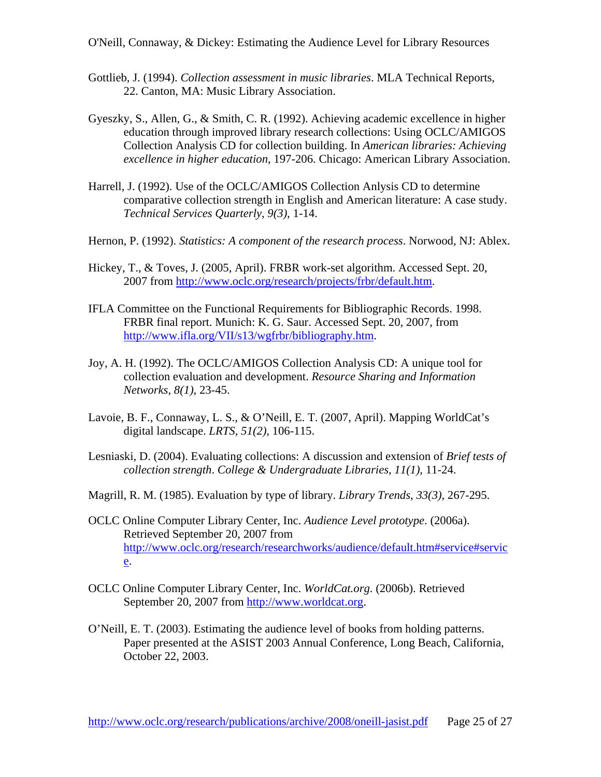- Gottlieb, J. (1994). *Collection assessment in music libraries*. MLA Technical Reports, 22. Canton, MA: Music Library Association.
- Gyeszky, S., Allen, G., & Smith, C. R. (1992). Achieving academic excellence in higher education through improved library research collections: Using OCLC/AMIGOS Collection Analysis CD for collection building. In *American libraries: Achieving excellence in higher education*, 197-206. Chicago: American Library Association.
- Harrell, J. (1992). Use of the OCLC/AMIGOS Collection Anlysis CD to determine comparative collection strength in English and American literature: A case study. *Technical Services Quarterly*, *9(3)*, 1-14.
- Hernon, P. (1992). *Statistics: A component of the research process*. Norwood, NJ: Ablex.
- Hickey, T., & Toves, J. (2005, April). FRBR work-set algorithm. Accessed Sept. 20, 2007 from<http://www.oclc.org/research/projects/frbr/default.htm>.
- IFLA Committee on the Functional Requirements for Bibliographic Records. 1998. FRBR final report. Munich: K. G. Saur. Accessed Sept. 20, 2007, from [http://www.ifla.org/VII/s13/wgfrbr/bibliography.htm.](http://www.ifla.org/VII/s13/wgfrbr/bibliography.htm)
- Joy, A. H. (1992). The OCLC/AMIGOS Collection Analysis CD: A unique tool for collection evaluation and development. *Resource Sharing and Information Networks*, *8(1)*, 23-45.
- Lavoie, B. F., Connaway, L. S., & O'Neill, E. T. (2007, April). Mapping WorldCat's digital landscape. *LRTS*, *51(2)*, 106-115.
- Lesniaski, D. (2004). Evaluating collections: A discussion and extension of *Brief tests of collection strength*. *College & Undergraduate Libraries*, *11(1)*, 11-24.
- Magrill, R. M. (1985). Evaluation by type of library. *Library Trends*, *33(3)*, 267-295.
- OCLC Online Computer Library Center, Inc. *Audience Level prototype*. (2006a). Retrieved September 20, 2007 from [http://www.oclc.org/research/researchworks/audience/default.htm#service#servic](http://www.oclc.org/research/researchworks/audience/default.htm#service#service) [e](http://www.oclc.org/research/researchworks/audience/default.htm#service#service).
- OCLC Online Computer Library Center, Inc. *WorldCat.org*. (2006b). Retrieved September 20, 2007 from [http://www.worldcat.org](http://www.worldcat.org/).
- O'Neill, E. T. (2003). Estimating the audience level of books from holding patterns. Paper presented at the ASIST 2003 Annual Conference, Long Beach, California, October 22, 2003.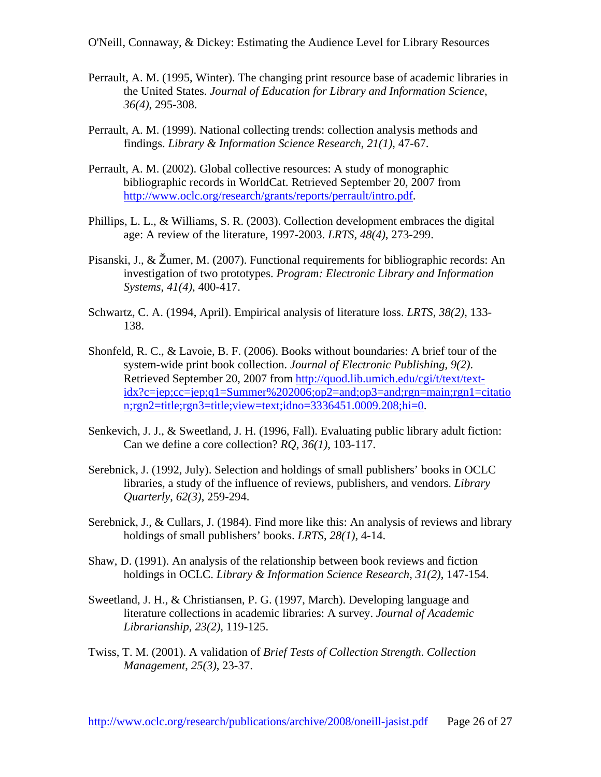- Perrault, A. M. (1995, Winter). The changing print resource base of academic libraries in the United States. *Journal of Education for Library and Information Science*, *36(4)*, 295-308.
- Perrault, A. M. (1999). National collecting trends: collection analysis methods and findings. *Library & Information Science Research*, *21(1)*, 47-67.
- Perrault, A. M. (2002). Global collective resources: A study of monographic bibliographic records in WorldCat. Retrieved September 20, 2007 from [http://www.oclc.org/research/grants/reports/perrault/intro.pdf.](http://www.oclc.org/research/grants/reports/perrault/intro.pdf)
- Phillips, L. L., & Williams, S. R. (2003). Collection development embraces the digital age: A review of the literature, 1997-2003. *LRTS*, *48(4)*, 273-299.
- Pisanski, J., & Žumer, M. (2007). Functional requirements for bibliographic records: An investigation of two prototypes. *Program: Electronic Library and Information Systems*, *41(4)*, 400-417.
- Schwartz, C. A. (1994, April). Empirical analysis of literature loss. *LRTS*, *38(2)*, 133- 138.
- Shonfeld, R. C., & Lavoie, B. F. (2006). Books without boundaries: A brief tour of the system-wide print book collection. *Journal of Electronic Publishing*, *9(2)*. Retrieved September 20, 2007 from [http://quod.lib.umich.edu/cgi/t/text/text](http://quod.lib.umich.edu/cgi/t/text/text-idx?c=jep;cc=jep;q1=Summer%202006;op2=and;op3=and;rgn=main;rgn1=citation;rgn2=title;rgn3=title;view=text;idno=3336451.0009.208;hi=0)[idx?c=jep;cc=jep;q1=Summer%202006;op2=and;op3=and;rgn=main;rgn1=citatio](http://quod.lib.umich.edu/cgi/t/text/text-idx?c=jep;cc=jep;q1=Summer%202006;op2=and;op3=and;rgn=main;rgn1=citation;rgn2=title;rgn3=title;view=text;idno=3336451.0009.208;hi=0) [n;rgn2=title;rgn3=title;view=text;idno=3336451.0009.208;hi=0.](http://quod.lib.umich.edu/cgi/t/text/text-idx?c=jep;cc=jep;q1=Summer%202006;op2=and;op3=and;rgn=main;rgn1=citation;rgn2=title;rgn3=title;view=text;idno=3336451.0009.208;hi=0)
- Senkevich, J. J., & Sweetland, J. H. (1996, Fall). Evaluating public library adult fiction: Can we define a core collection? *RQ*, *36(1)*, 103-117.
- Serebnick, J. (1992, July). Selection and holdings of small publishers' books in OCLC libraries, a study of the influence of reviews, publishers, and vendors. *Library Quarterly*, *62(3)*, 259-294.
- Serebnick, J., & Cullars, J. (1984). Find more like this: An analysis of reviews and library holdings of small publishers' books. *LRTS*, *28(1)*, 4-14.
- Shaw, D. (1991). An analysis of the relationship between book reviews and fiction holdings in OCLC. *Library & Information Science Research*, *31(2)*, 147-154.
- Sweetland, J. H., & Christiansen, P. G. (1997, March). Developing language and literature collections in academic libraries: A survey. *Journal of Academic Librarianship*, *23(2)*, 119-125.
- Twiss, T. M. (2001). A validation of *Brief Tests of Collection Strength*. *Collection Management*, *25(3)*, 23-37.